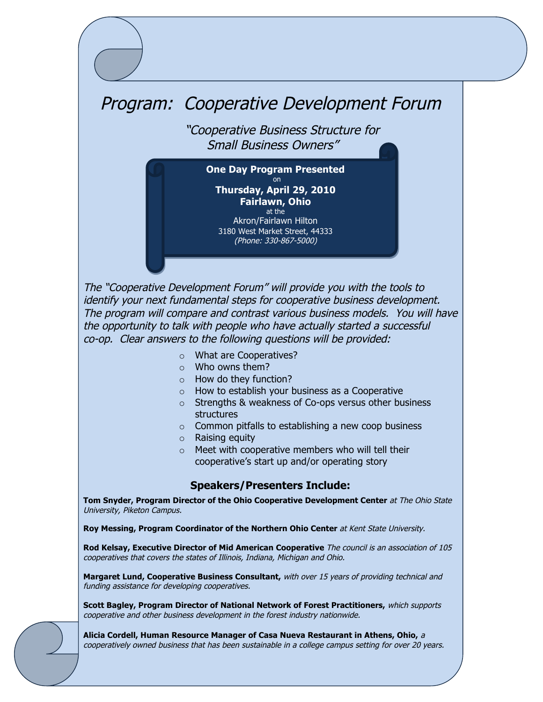## Program: Cooperative Development Forum

 "Cooperative Business Structure for Small Business Owners"

**One Day Program Presented** on **Thursday, April 29, 2010 Fairlawn, Ohio**  at the Akron/Fairlawn Hilton 3180 West Market Street, 44333 (Phone: 330-867-5000)

The "Cooperative Development Forum" will provide you with the tools to identify your next fundamental steps for cooperative business development. The program will compare and contrast various business models. You will have the opportunity to talk with people who have actually started a successful co-op. Clear answers to the following questions will be provided:

- o What are Cooperatives?
- o Who owns them?
- $\circ$  How do they function?
- o How to establish your business as a Cooperative
- o Strengths & weakness of Co-ops versus other business structures
- $\circ$  Common pitfalls to establishing a new coop business
- o Raising equity
- o Meet with cooperative members who will tell their cooperative's start up and/or operating story

#### **Speakers/Presenters Include:**

**Tom Snyder, Program Director of the Ohio Cooperative Development Center** at The Ohio State University, Piketon Campus.

**Roy Messing, Program Coordinator of the Northern Ohio Center** at Kent State University.

**Rod Kelsay, Executive Director of Mid American Cooperative** The council is an association of 105 cooperatives that covers the states of Illinois, Indiana, Michigan and Ohio.

**Margaret Lund, Cooperative Business Consultant,** with over 15 years of providing technical and funding assistance for developing cooperatives.

**Scott Bagley, Program Director of National Network of Forest Practitioners,** which supports cooperative and other business development in the forest industry nationwide.

**Alicia Cordell, Human Resource Manager of Casa Nueva Restaurant in Athens, Ohio,**<sup>a</sup> cooperatively owned business that has been sustainable in a college campus setting for over 20 years.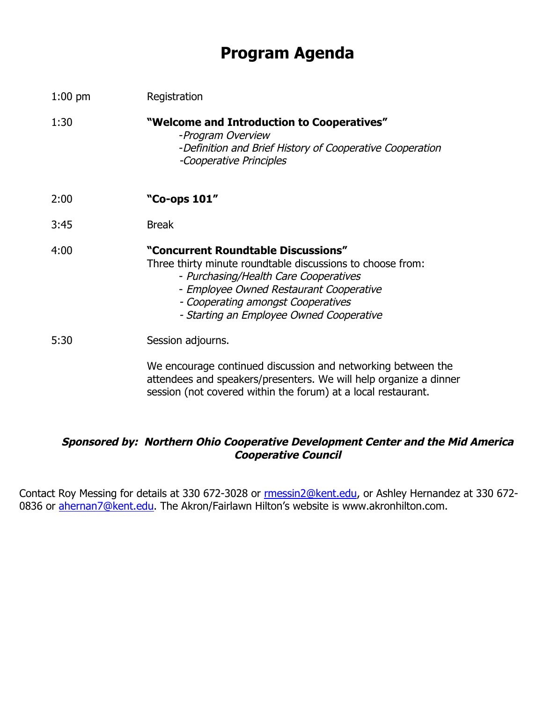# **Program Agenda**

| $1:00$ pm | Registration                                                                                                                                                                                                                                                            |
|-----------|-------------------------------------------------------------------------------------------------------------------------------------------------------------------------------------------------------------------------------------------------------------------------|
| 1:30      | "Welcome and Introduction to Cooperatives"<br>-Program Overview<br>-Definition and Brief History of Cooperative Cooperation<br>-Cooperative Principles                                                                                                                  |
| 2:00      | "Co-ops 101"                                                                                                                                                                                                                                                            |
| 3:45      | <b>Break</b>                                                                                                                                                                                                                                                            |
| 4:00      | "Concurrent Roundtable Discussions"<br>Three thirty minute roundtable discussions to choose from:<br>- Purchasing/Health Care Cooperatives<br>- Employee Owned Restaurant Cooperative<br>- Cooperating amongst Cooperatives<br>- Starting an Employee Owned Cooperative |
| 5:30      | Session adjourns.                                                                                                                                                                                                                                                       |
|           | We encourage continued discussion and networking between the<br>attendees and speakers/presenters. We will help organize a dinner<br>session (not covered within the forum) at a local restaurant.                                                                      |

### **Sponsored by: Northern Ohio Cooperative Development Center and the Mid America Cooperative Council**

Contact Roy Messing for details at 330 672-3028 or rmessin2@kent.edu, or Ashley Hernandez at 330 672-0836 or ahernan7@kent.edu. The Akron/Fairlawn Hilton's website is www.akronhilton.com.